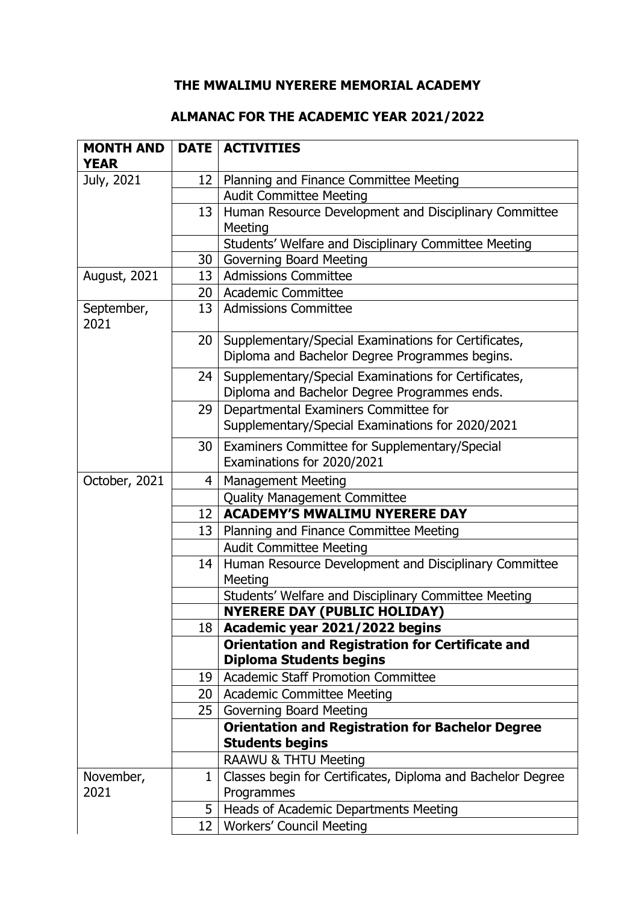## **THE MWALIMU NYERERE MEMORIAL ACADEMY**

## **ALMANAC FOR THE ACADEMIC YEAR 2021/2022**

| <b>MONTH AND</b>   |                 | <b>DATE   ACTIVITIES</b>                                                                  |
|--------------------|-----------------|-------------------------------------------------------------------------------------------|
| <b>YEAR</b>        |                 |                                                                                           |
| July, 2021         | 12 <sub>1</sub> | Planning and Finance Committee Meeting                                                    |
|                    |                 | <b>Audit Committee Meeting</b>                                                            |
|                    | 13              | Human Resource Development and Disciplinary Committee                                     |
|                    |                 | Meeting                                                                                   |
|                    |                 | Students' Welfare and Disciplinary Committee Meeting                                      |
|                    | 30              | <b>Governing Board Meeting</b>                                                            |
| August, 2021       | 13 <sup>1</sup> | <b>Admissions Committee</b>                                                               |
|                    | 20              | <b>Academic Committee</b>                                                                 |
| September,<br>2021 | 13              | <b>Admissions Committee</b>                                                               |
|                    | 20              | Supplementary/Special Examinations for Certificates,                                      |
|                    |                 | Diploma and Bachelor Degree Programmes begins.                                            |
|                    | 24              | Supplementary/Special Examinations for Certificates,                                      |
|                    |                 | Diploma and Bachelor Degree Programmes ends.                                              |
|                    | 29              | Departmental Examiners Committee for                                                      |
|                    |                 | Supplementary/Special Examinations for 2020/2021                                          |
|                    | 30              | Examiners Committee for Supplementary/Special                                             |
|                    |                 | Examinations for 2020/2021                                                                |
| October, 2021      | $\overline{4}$  | <b>Management Meeting</b>                                                                 |
|                    |                 | <b>Quality Management Committee</b>                                                       |
|                    | 12              | <b>ACADEMY'S MWALIMU NYERERE DAY</b>                                                      |
|                    | 13              | Planning and Finance Committee Meeting                                                    |
|                    |                 | <b>Audit Committee Meeting</b>                                                            |
|                    | 14              | Human Resource Development and Disciplinary Committee                                     |
|                    |                 | Meeting                                                                                   |
|                    |                 | Students' Welfare and Disciplinary Committee Meeting                                      |
|                    |                 | <b>NYERERE DAY (PUBLIC HOLIDAY)</b>                                                       |
|                    | 18              | Academic year 2021/2022 begins                                                            |
|                    |                 | <b>Orientation and Registration for Certificate and</b><br><b>Diploma Students begins</b> |
|                    | 19              | <b>Academic Staff Promotion Committee</b>                                                 |
|                    | 20              | <b>Academic Committee Meeting</b>                                                         |
|                    | 25              | Governing Board Meeting                                                                   |
|                    |                 | <b>Orientation and Registration for Bachelor Degree</b><br><b>Students begins</b>         |
|                    |                 | RAAWU & THTU Meeting                                                                      |
| November,          | 1               | Classes begin for Certificates, Diploma and Bachelor Degree                               |
| 2021               |                 | Programmes                                                                                |
|                    | 5               | Heads of Academic Departments Meeting                                                     |
|                    | 12              | <b>Workers' Council Meeting</b>                                                           |
|                    |                 |                                                                                           |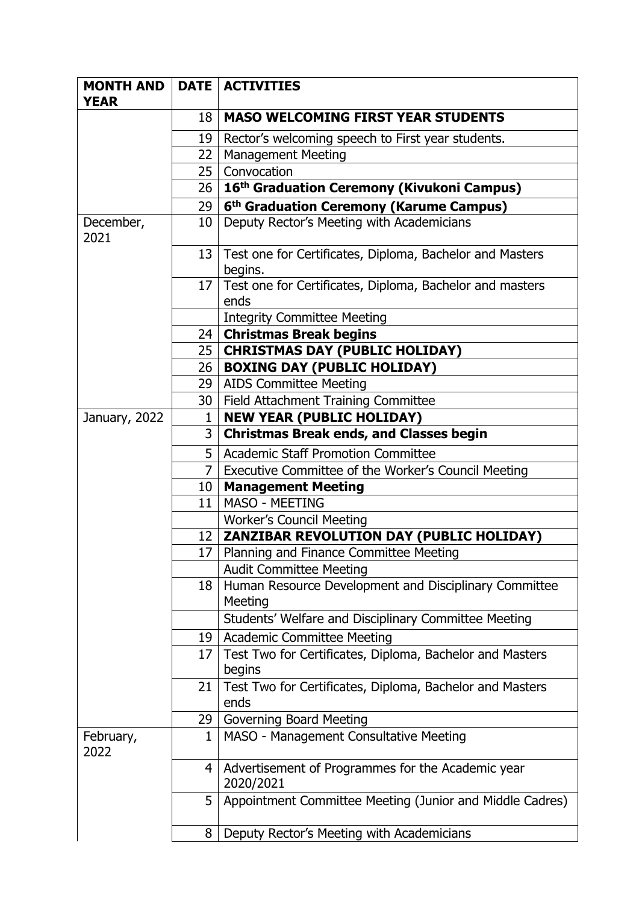| <b>MONTH AND</b>  |                 | <b>DATE   ACTIVITIES</b>                                       |
|-------------------|-----------------|----------------------------------------------------------------|
| <b>YEAR</b>       |                 |                                                                |
|                   | 18              | <b>MASO WELCOMING FIRST YEAR STUDENTS</b>                      |
|                   | 19              | Rector's welcoming speech to First year students.              |
|                   | 22              | <b>Management Meeting</b>                                      |
|                   | 25 <sub>2</sub> | Convocation                                                    |
|                   | 26              | 16 <sup>th</sup> Graduation Ceremony (Kivukoni Campus)         |
|                   | 29              | 6 <sup>th</sup> Graduation Ceremony (Karume Campus)            |
| December,         | 10              | Deputy Rector's Meeting with Academicians                      |
| 2021              |                 |                                                                |
|                   | 13              | Test one for Certificates, Diploma, Bachelor and Masters       |
|                   |                 | begins.                                                        |
|                   | 17              | Test one for Certificates, Diploma, Bachelor and masters       |
|                   |                 | ends                                                           |
|                   |                 | <b>Integrity Committee Meeting</b>                             |
|                   | 24 I            | <b>Christmas Break begins</b>                                  |
|                   | 25              | <b>CHRISTMAS DAY (PUBLIC HOLIDAY)</b>                          |
|                   | 26              | <b>BOXING DAY (PUBLIC HOLIDAY)</b>                             |
|                   | 29              | <b>AIDS Committee Meeting</b>                                  |
|                   | 30              | Field Attachment Training Committee                            |
| January, 2022     | 1               | <b>NEW YEAR (PUBLIC HOLIDAY)</b>                               |
|                   | 3 <sup>1</sup>  | <b>Christmas Break ends, and Classes begin</b>                 |
|                   | 5               | <b>Academic Staff Promotion Committee</b>                      |
|                   |                 | Executive Committee of the Worker's Council Meeting            |
|                   | $10-1$          | <b>Management Meeting</b>                                      |
|                   | 11              | MASO - MEETING                                                 |
|                   |                 | <b>Worker's Council Meeting</b>                                |
|                   | 12 I            | ZANZIBAR REVOLUTION DAY (PUBLIC HOLIDAY)                       |
|                   | 17 <sup>1</sup> | Planning and Finance Committee Meeting                         |
|                   |                 | <b>Audit Committee Meeting</b>                                 |
|                   | 18              | Human Resource Development and Disciplinary Committee          |
|                   |                 | Meeting                                                        |
|                   |                 | Students' Welfare and Disciplinary Committee Meeting           |
|                   | 19              | <b>Academic Committee Meeting</b>                              |
|                   | 17              | Test Two for Certificates, Diploma, Bachelor and Masters       |
|                   |                 | begins                                                         |
|                   | 21              | Test Two for Certificates, Diploma, Bachelor and Masters       |
|                   |                 | ends                                                           |
|                   | 29              | Governing Board Meeting                                        |
| February,<br>2022 | 1               | MASO - Management Consultative Meeting                         |
|                   | 4               | Advertisement of Programmes for the Academic year<br>2020/2021 |
|                   | 5               | Appointment Committee Meeting (Junior and Middle Cadres)       |
|                   | 8               | Deputy Rector's Meeting with Academicians                      |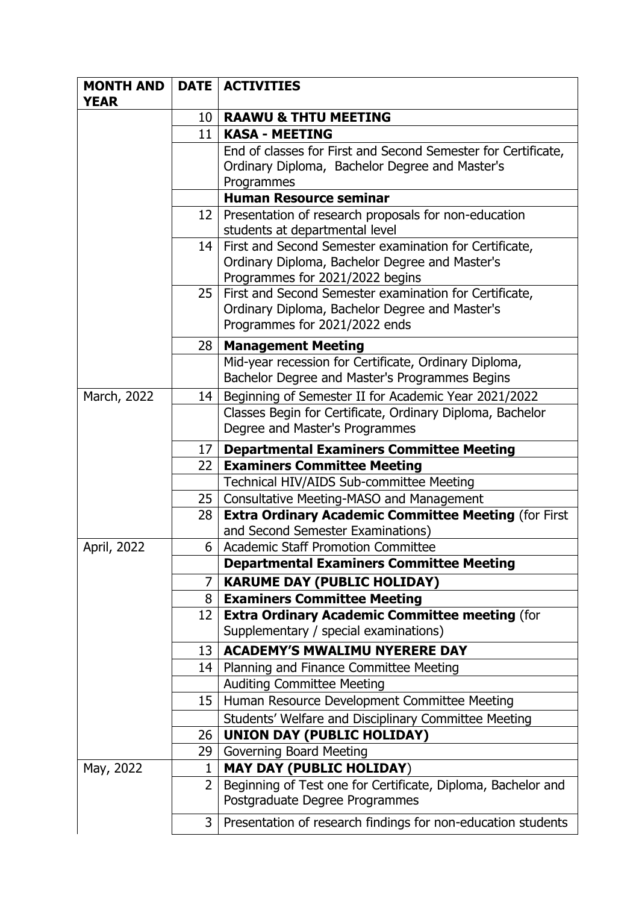| <b>MONTH AND</b> |                 | <b>DATE   ACTIVITIES</b>                                                                                                                    |
|------------------|-----------------|---------------------------------------------------------------------------------------------------------------------------------------------|
| <b>YEAR</b>      |                 |                                                                                                                                             |
|                  | 10 I            | <b>RAAWU &amp; THTU MEETING</b>                                                                                                             |
|                  | 11              | <b>KASA - MEETING</b>                                                                                                                       |
|                  |                 | End of classes for First and Second Semester for Certificate,                                                                               |
|                  |                 | Ordinary Diploma, Bachelor Degree and Master's                                                                                              |
|                  |                 | Programmes                                                                                                                                  |
|                  |                 | <b>Human Resource seminar</b>                                                                                                               |
|                  | 12 <sub>1</sub> | Presentation of research proposals for non-education<br>students at departmental level                                                      |
|                  | 14              | First and Second Semester examination for Certificate,<br>Ordinary Diploma, Bachelor Degree and Master's<br>Programmes for 2021/2022 begins |
|                  | 25 <sub>1</sub> | First and Second Semester examination for Certificate,<br>Ordinary Diploma, Bachelor Degree and Master's<br>Programmes for 2021/2022 ends   |
|                  | 28 I            | <b>Management Meeting</b>                                                                                                                   |
|                  |                 | Mid-year recession for Certificate, Ordinary Diploma,<br>Bachelor Degree and Master's Programmes Begins                                     |
| March, 2022      | 14              | Beginning of Semester II for Academic Year 2021/2022                                                                                        |
|                  |                 | Classes Begin for Certificate, Ordinary Diploma, Bachelor<br>Degree and Master's Programmes                                                 |
|                  | 17              | <b>Departmental Examiners Committee Meeting</b>                                                                                             |
|                  | 22 <sub>1</sub> | <b>Examiners Committee Meeting</b>                                                                                                          |
|                  |                 | Technical HIV/AIDS Sub-committee Meeting                                                                                                    |
|                  | 25              | Consultative Meeting-MASO and Management                                                                                                    |
|                  | 28              | <b>Extra Ordinary Academic Committee Meeting (for First</b><br>and Second Semester Examinations)                                            |
| April, 2022      | 6               | <b>Academic Staff Promotion Committee</b>                                                                                                   |
|                  |                 | <b>Departmental Examiners Committee Meeting</b>                                                                                             |
|                  | 7               | <b>KARUME DAY (PUBLIC HOLIDAY)</b>                                                                                                          |
|                  | 8               | <b>Examiners Committee Meeting</b>                                                                                                          |
|                  | 12              | <b>Extra Ordinary Academic Committee meeting (for</b><br>Supplementary / special examinations)                                              |
|                  | 13              | <b>ACADEMY'S MWALIMU NYERERE DAY</b>                                                                                                        |
|                  | 14              | Planning and Finance Committee Meeting                                                                                                      |
|                  |                 | <b>Auditing Committee Meeting</b>                                                                                                           |
|                  | 15              | Human Resource Development Committee Meeting                                                                                                |
|                  |                 | Students' Welfare and Disciplinary Committee Meeting                                                                                        |
|                  | 26              | <b>UNION DAY (PUBLIC HOLIDAY)</b>                                                                                                           |
|                  | 29.             | Governing Board Meeting                                                                                                                     |
| May, 2022        | 1               | <b>MAY DAY (PUBLIC HOLIDAY)</b>                                                                                                             |
|                  | $\overline{2}$  | Beginning of Test one for Certificate, Diploma, Bachelor and<br>Postgraduate Degree Programmes                                              |
|                  | 3 <sup>1</sup>  | Presentation of research findings for non-education students                                                                                |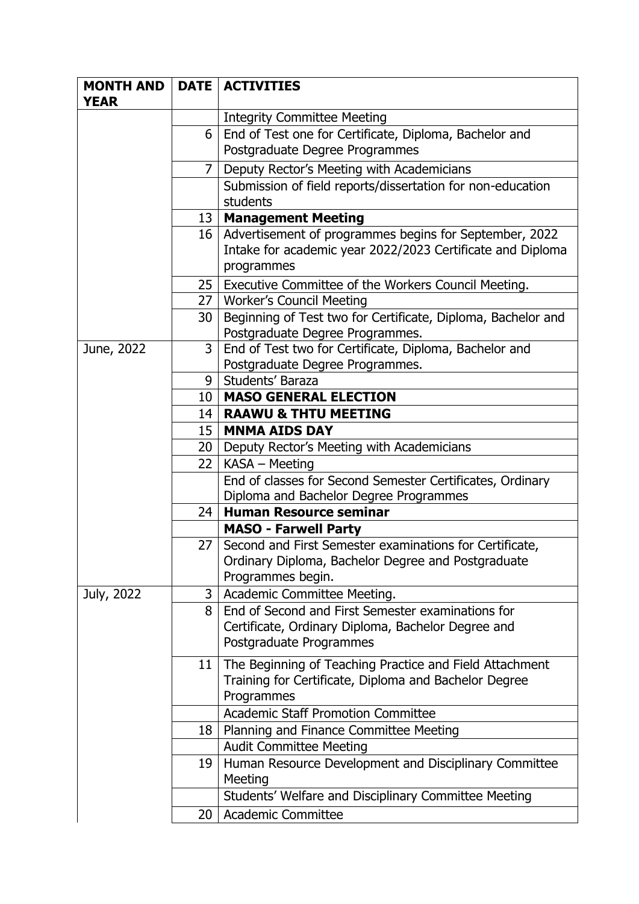| <b>MONTH AND</b> |                 | <b>DATE   ACTIVITIES</b>                                                |
|------------------|-----------------|-------------------------------------------------------------------------|
| <b>YEAR</b>      |                 |                                                                         |
|                  |                 | <b>Integrity Committee Meeting</b>                                      |
|                  | 6               | End of Test one for Certificate, Diploma, Bachelor and                  |
|                  |                 | Postgraduate Degree Programmes                                          |
|                  | $\overline{7}$  | Deputy Rector's Meeting with Academicians                               |
|                  |                 | Submission of field reports/dissertation for non-education              |
|                  |                 | students                                                                |
|                  | 13 <sup>1</sup> | <b>Management Meeting</b>                                               |
|                  | 16 <sup>1</sup> | Advertisement of programmes begins for September, 2022                  |
|                  |                 | Intake for academic year 2022/2023 Certificate and Diploma              |
|                  |                 | programmes                                                              |
|                  | 25 <sub>1</sub> | Executive Committee of the Workers Council Meeting.                     |
|                  | 27              | <b>Worker's Council Meeting</b>                                         |
|                  | 30              | Beginning of Test two for Certificate, Diploma, Bachelor and            |
|                  |                 | Postgraduate Degree Programmes.                                         |
| June, 2022       | 3               | End of Test two for Certificate, Diploma, Bachelor and                  |
|                  |                 | Postgraduate Degree Programmes.                                         |
|                  | 9               | Students' Baraza                                                        |
|                  | 10              | <b>MASO GENERAL ELECTION</b>                                            |
|                  | 14              | <b>RAAWU &amp; THTU MEETING</b>                                         |
|                  | 15              | <b>MNMA AIDS DAY</b>                                                    |
|                  | 20 <sub>1</sub> | Deputy Rector's Meeting with Academicians                               |
|                  | 22 <sub>1</sub> | KASA - Meeting                                                          |
|                  |                 | End of classes for Second Semester Certificates, Ordinary               |
|                  |                 | Diploma and Bachelor Degree Programmes                                  |
|                  | 24              | <b>Human Resource seminar</b>                                           |
|                  |                 | <b>MASO - Farwell Party</b>                                             |
|                  | 27              | Second and First Semester examinations for Certificate,                 |
|                  |                 | Ordinary Diploma, Bachelor Degree and Postgraduate<br>Programmes begin. |
| July, 2022       | 3               | Academic Committee Meeting.                                             |
|                  | 8               | End of Second and First Semester examinations for                       |
|                  |                 | Certificate, Ordinary Diploma, Bachelor Degree and                      |
|                  |                 | Postgraduate Programmes                                                 |
|                  |                 |                                                                         |
|                  | 11 I            | The Beginning of Teaching Practice and Field Attachment                 |
|                  |                 | Training for Certificate, Diploma and Bachelor Degree<br>Programmes     |
|                  |                 |                                                                         |
|                  |                 | <b>Academic Staff Promotion Committee</b>                               |
|                  | 18              | Planning and Finance Committee Meeting                                  |
|                  | 19              | <b>Audit Committee Meeting</b>                                          |
|                  |                 | Human Resource Development and Disciplinary Committee<br>Meeting        |
|                  |                 | Students' Welfare and Disciplinary Committee Meeting                    |
|                  |                 |                                                                         |
|                  | 20              | <b>Academic Committee</b>                                               |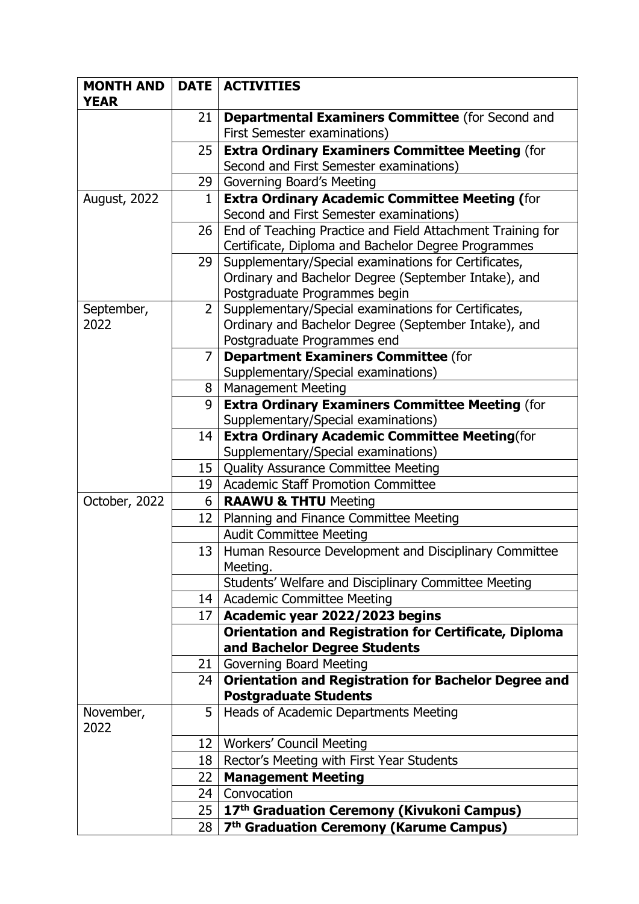| <b>MONTH AND</b>    |                 | <b>DATE   ACTIVITIES</b>                                                                                     |
|---------------------|-----------------|--------------------------------------------------------------------------------------------------------------|
| <b>YEAR</b>         |                 |                                                                                                              |
|                     | 21              | <b>Departmental Examiners Committee (for Second and</b><br><b>First Semester examinations)</b>               |
|                     | 25              | <b>Extra Ordinary Examiners Committee Meeting (for</b>                                                       |
|                     |                 | Second and First Semester examinations)                                                                      |
|                     | 29              | Governing Board's Meeting                                                                                    |
| <b>August, 2022</b> | $\mathbf{1}$    | <b>Extra Ordinary Academic Committee Meeting (for</b>                                                        |
|                     |                 | Second and First Semester examinations)                                                                      |
|                     | 26              | End of Teaching Practice and Field Attachment Training for                                                   |
|                     |                 | Certificate, Diploma and Bachelor Degree Programmes                                                          |
|                     | 29              | Supplementary/Special examinations for Certificates,                                                         |
|                     |                 | Ordinary and Bachelor Degree (September Intake), and                                                         |
| September,          | $2^{\circ}$     | Postgraduate Programmes begin                                                                                |
| 2022                |                 | Supplementary/Special examinations for Certificates,<br>Ordinary and Bachelor Degree (September Intake), and |
|                     |                 | Postgraduate Programmes end                                                                                  |
|                     | 7               | <b>Department Examiners Committee (for</b>                                                                   |
|                     |                 | Supplementary/Special examinations)                                                                          |
|                     | 8               | <b>Management Meeting</b>                                                                                    |
|                     | 9               | <b>Extra Ordinary Examiners Committee Meeting (for</b>                                                       |
|                     |                 | Supplementary/Special examinations)                                                                          |
|                     | 14              | <b>Extra Ordinary Academic Committee Meeting(for</b>                                                         |
|                     |                 | Supplementary/Special examinations)                                                                          |
|                     | 15              | <b>Quality Assurance Committee Meeting</b>                                                                   |
|                     | 19              | <b>Academic Staff Promotion Committee</b>                                                                    |
| October, 2022       | 6               | <b>RAAWU &amp; THTU Meeting</b>                                                                              |
|                     | 12              | Planning and Finance Committee Meeting                                                                       |
|                     |                 | <b>Audit Committee Meeting</b>                                                                               |
|                     | 13 <sup>1</sup> | Human Resource Development and Disciplinary Committee                                                        |
|                     |                 | Meeting.                                                                                                     |
|                     |                 | Students' Welfare and Disciplinary Committee Meeting                                                         |
|                     | 14 <sup>1</sup> | <b>Academic Committee Meeting</b>                                                                            |
|                     | 17              | Academic year 2022/2023 begins                                                                               |
|                     |                 | <b>Orientation and Registration for Certificate, Diploma</b><br>and Bachelor Degree Students                 |
|                     | 21 <sub>1</sub> | <b>Governing Board Meeting</b>                                                                               |
|                     | 24              | Orientation and Registration for Bachelor Degree and                                                         |
|                     |                 | <b>Postgraduate Students</b>                                                                                 |
| November,<br>2022   | 5               | Heads of Academic Departments Meeting                                                                        |
|                     | 12              | <b>Workers' Council Meeting</b>                                                                              |
|                     | 18              | Rector's Meeting with First Year Students                                                                    |
|                     | 22              | <b>Management Meeting</b>                                                                                    |
|                     | 24              | Convocation                                                                                                  |
|                     | 25              | 17th Graduation Ceremony (Kivukoni Campus)                                                                   |
|                     | 28              | 7 <sup>th</sup> Graduation Ceremony (Karume Campus)                                                          |